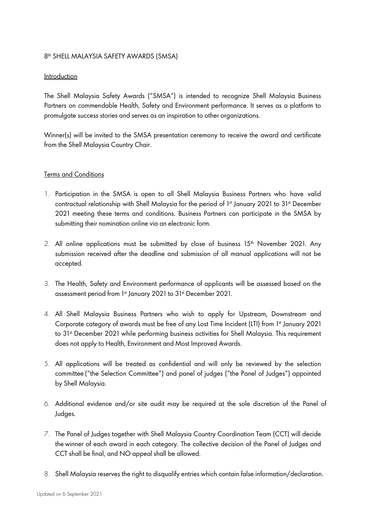# 8th SHELL MALAYSIA SAFETY AWARDS (SMSA)

### Introduction

The Shell Malaysia Safety Awards ("SMSA") is intended to recognize Shell Malaysia Business Partners on commendable Health, Safety and Environment performance. It serves as a platform to promulgate success stories and serves as an inspiration to other organizations.

Winner(s) will be invited to the SMSA presentation ceremony to receive the award and certificate from the Shell Malaysia Country Chair.

### Terms and Conditions

- 1. Participation in the SMSA is open to all Shell Malaysia Business Partners who have valid contractual relationship with Shell Malaysia for the period of 1st January 2021 to 31st December 2021 meeting these terms and conditions. Business Partners can participate in the SMSA by submitting their nomination online via an electronic form.
- 2. All online applications must be submitted by close of business  $15<sup>th</sup>$  November 2021. Any submission received after the deadline and submission of all manual applications will not be accepted.
- 3. The Health, Safety and Environment performance of applicants will be assessed based on the assessment period from 1st January 2021 to 31st December 2021.
- 4. All Shell Malaysia Business Partners who wish to apply for Upstream, Downstream and Corporate category of awards must be free of any Lost Time Incident (LTI) from 1st January 2021 to 31st December 2021 while performing business activities for Shell Malaysia. This requirement does not apply to Health, Environment and Most Improved Awards.
- 5. All applications will be treated as confidential and will only be reviewed by the selection committee ("the Selection Committee") and panel of judges ("the Panel of Judges") appointed by Shell Malaysia.
- 6. Additional evidence and/or site audit may be required at the sole discretion of the Panel of Judges.
- 7. The Panel of Judges together with Shell Malaysia Country Coordination Team (CCT) will decide the winner of each award in each category. The collective decision of the Panel of Judges and CCT shall be final, and NO appeal shall be allowed.
- 8. Shell Malaysia reserves the right to disqualify entries which contain false information/declaration.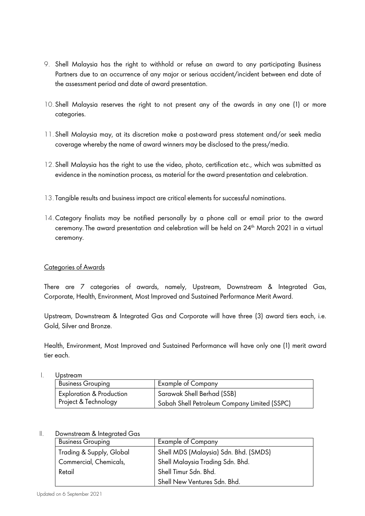- 9. Shell Malaysia has the right to withhold or refuse an award to any participating Business Partners due to an occurrence of any major or serious accident/incident between end date of the assessment period and date of award presentation.
- 10. Shell Malaysia reserves the right to not present any of the awards in any one (1) or more categories.
- 11. Shell Malaysia may, at its discretion make a post-award press statement and/or seek media coverage whereby the name of award winners may be disclosed to the press/media.
- 12. Shell Malaysia has the right to use the video, photo, certification etc., which was submitted as evidence in the nomination process, as material for the award presentation and celebration.
- 13. Tangible results and business impact are critical elements for successful nominations.
- 14. Category finalists may be notified personally by a phone call or email prior to the award ceremony. The award presentation and celebration will be held on 24<sup>th</sup> March 2021 in a virtual ceremony.

# Categories of Awards

There are 7 categories of awards, namely, Upstream, Downstream & Integrated Gas, Corporate, Health, Environment, Most Improved and Sustained Performance Merit Award.

Upstream, Downstream & Integrated Gas and Corporate will have three (3) award tiers each, i.e. Gold, Silver and Bronze.

Health, Environment, Most Improved and Sustained Performance will have only one (1) merit award tier each.

|  | Upstream |
|--|----------|
|--|----------|

| <b>Business Grouping</b>            | Example of Company                           |
|-------------------------------------|----------------------------------------------|
| <b>Exploration &amp; Production</b> | Sarawak Shell Berhad (SSB)                   |
| Project & Technology                | Sabah Shell Petroleum Company Limited (SSPC) |

# II. Downstream & Integrated Gas

| <b>Business Grouping</b> | Example of Company                    |
|--------------------------|---------------------------------------|
| Trading & Supply, Global | Shell MDS (Malaysia) Sdn. Bhd. (SMDS) |
| Commercial, Chemicals,   | Shell Malaysia Trading Sdn. Bhd.      |
| Retail                   | Shell Timur Sdn. Bhd.                 |
|                          | Shell New Ventures Sdn. Bhd.          |